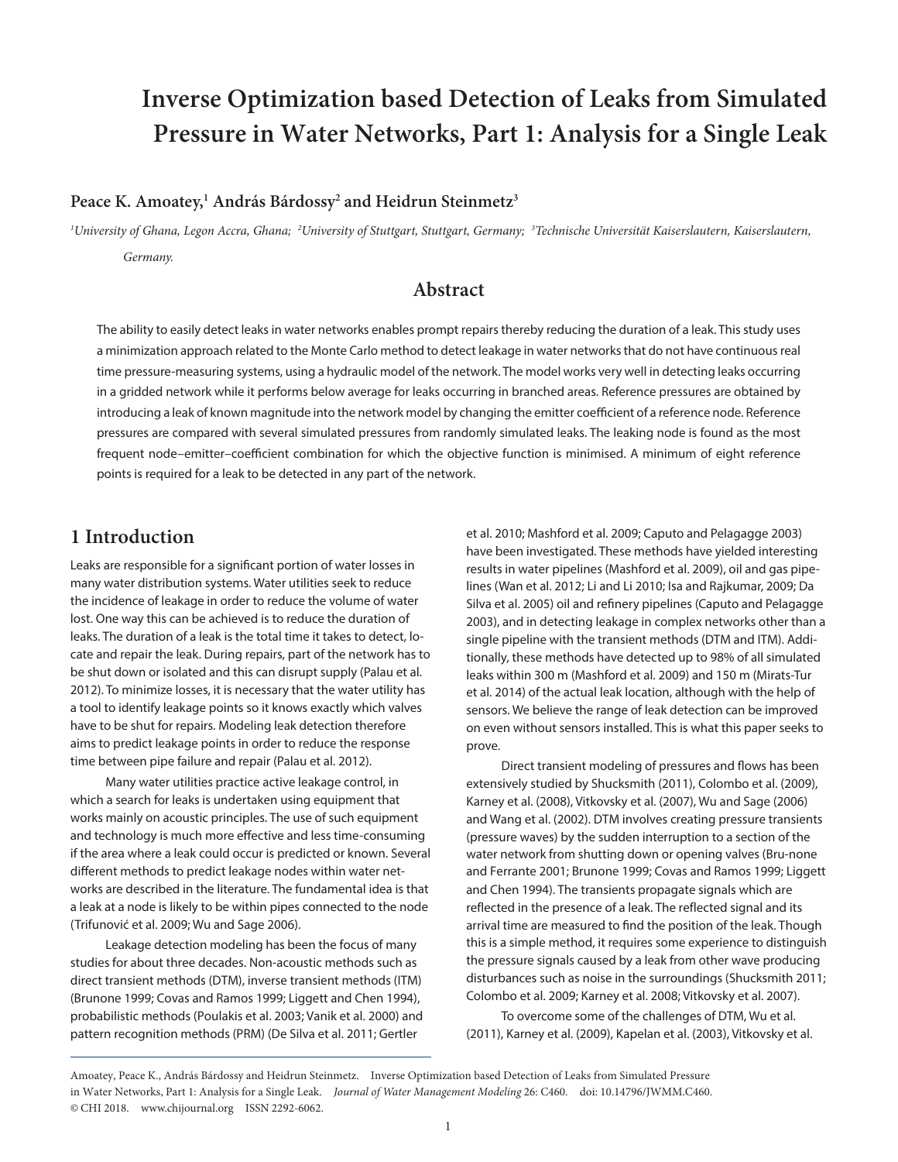# **Inverse Optimization based Detection of Leaks from Simulated Pressure in Water Networks, Part 1: Analysis for a Single Leak**

### **Peace K. Amoatey,1 András Bárdossy2 and Heidrun Steinmetz3**

*1 University of Ghana, Legon Accra, Ghana; <sup>2</sup> University of Stuttgart, Stuttgart, Germany; <sup>3</sup> Technische Universität Kaiserslautern, Kaiserslautern, Germany.*

### **Abstract**

The ability to easily detect leaks in water networks enables prompt repairs thereby reducing the duration of a leak. This study uses a minimization approach related to the Monte Carlo method to detect leakage in water networks that do not have continuous real time pressure-measuring systems, using a hydraulic model of the network. The model works very well in detecting leaks occurring in a gridded network while it performs below average for leaks occurring in branched areas. Reference pressures are obtained by introducing a leak of known magnitude into the network model by changing the emitter coefficient of a reference node. Reference pressures are compared with several simulated pressures from randomly simulated leaks. The leaking node is found as the most frequent node–emitter–coefficient combination for which the objective function is minimised. A minimum of eight reference points is required for a leak to be detected in any part of the network.

# **1 Introduction**

Leaks are responsible for a significant portion of water losses in many water distribution systems. Water utilities seek to reduce the incidence of leakage in order to reduce the volume of water lost. One way this can be achieved is to reduce the duration of leaks. The duration of a leak is the total time it takes to detect, locate and repair the leak. During repairs, part of the network has to be shut down or isolated and this can disrupt supply (Palau et al. 2012). To minimize losses, it is necessary that the water utility has a tool to identify leakage points so it knows exactly which valves have to be shut for repairs. Modeling leak detection therefore aims to predict leakage points in order to reduce the response time between pipe failure and repair (Palau et al. 2012).

Many water utilities practice active leakage control, in which a search for leaks is undertaken using equipment that works mainly on acoustic principles. The use of such equipment and technology is much more effective and less time-consuming if the area where a leak could occur is predicted or known. Several different methods to predict leakage nodes within water networks are described in the literature. The fundamental idea is that a leak at a node is likely to be within pipes connected to the node (Trifunović et al. 2009; Wu and Sage 2006).

Leakage detection modeling has been the focus of many studies for about three decades. Non-acoustic methods such as direct transient methods (DTM), inverse transient methods (ITM) (Brunone 1999; Covas and Ramos 1999; Liggett and Chen 1994), probabilistic methods (Poulakis et al. 2003; Vanik et al. 2000) and pattern recognition methods (PRM) (De Silva et al. 2011; Gertler

et al. 2010; Mashford et al. 2009; Caputo and Pelagagge 2003) have been investigated. These methods have yielded interesting results in water pipelines (Mashford et al. 2009), oil and gas pipelines (Wan et al. 2012; Li and Li 2010; Isa and Rajkumar, 2009; Da Silva et al. 2005) oil and refinery pipelines (Caputo and Pelagagge 2003), and in detecting leakage in complex networks other than a single pipeline with the transient methods (DTM and ITM). Additionally, these methods have detected up to 98% of all simulated leaks within 300 m (Mashford et al. 2009) and 150 m (Mirats-Tur et al. 2014) of the actual leak location, although with the help of sensors. We believe the range of leak detection can be improved on even without sensors installed. This is what this paper seeks to prove.

Direct transient modeling of pressures and flows has been extensively studied by Shucksmith (2011), Colombo et al. (2009), Karney et al. (2008), Vitkovsky et al. (2007), Wu and Sage (2006) and Wang et al. (2002). DTM involves creating pressure transients (pressure waves) by the sudden interruption to a section of the water network from shutting down or opening valves (Bru-none and Ferrante 2001; Brunone 1999; Covas and Ramos 1999; Liggett and Chen 1994). The transients propagate signals which are reflected in the presence of a leak. The reflected signal and its arrival time are measured to find the position of the leak. Though this is a simple method, it requires some experience to distinguish the pressure signals caused by a leak from other wave producing disturbances such as noise in the surroundings (Shucksmith 2011; Colombo et al. 2009; Karney et al. 2008; Vitkovsky et al. 2007).

To overcome some of the challenges of DTM, Wu et al. (2011), Karney et al. (2009), Kapelan et al. (2003), Vitkovsky et al.

Amoatey, Peace K., András Bárdossy and Heidrun Steinmetz. Inverse Optimization based Detection of Leaks from Simulated Pressure in Water Networks, Part 1: Analysis for a Single Leak. *Journal of Water Management Modeling* 26: C460. doi: [10.14796/JWMM.C460.](https://doi.org/10.14796/JWMM.C460) © CHI 2018. www.chijournal.org ISSN 2292-6062.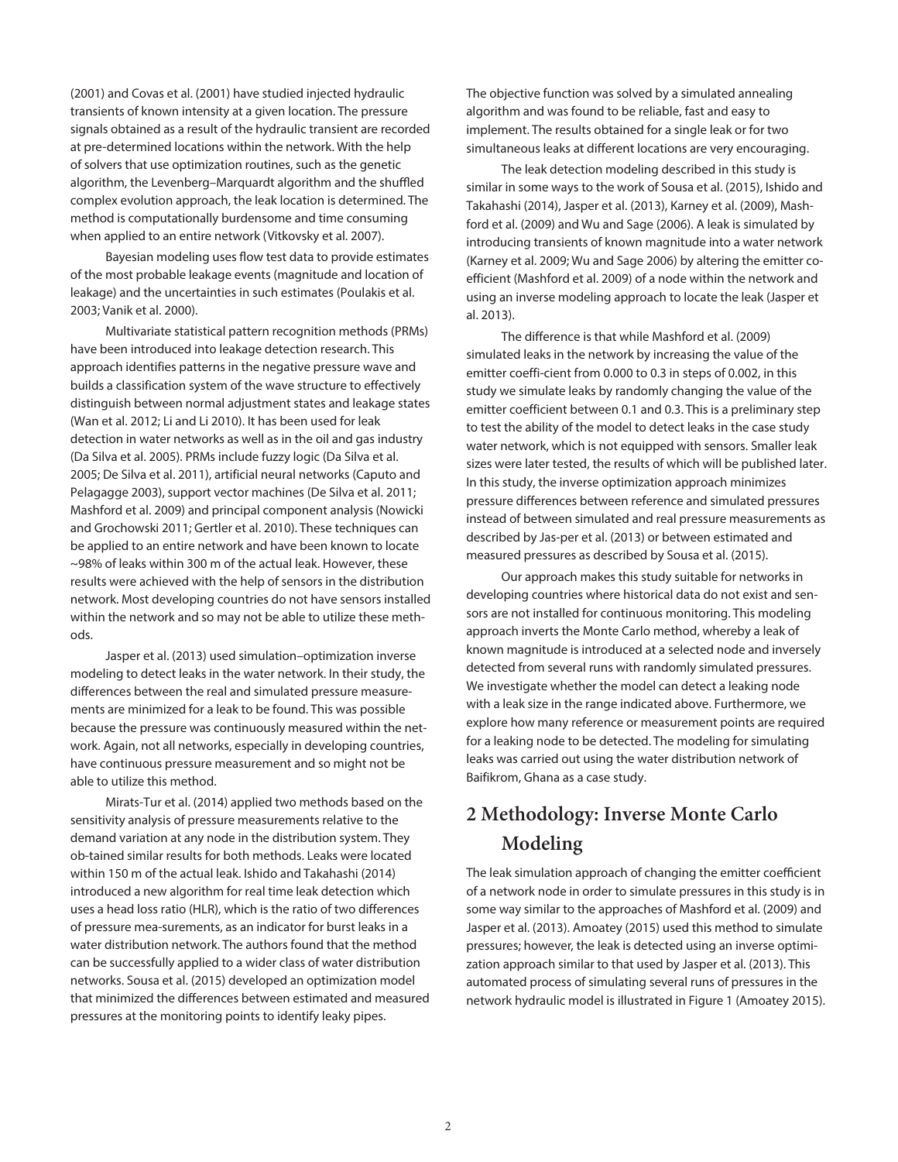(2001) and Covas et al. (2001) have studied injected hydraulic transients of known intensity at a given location. The pressure signals obtained as a result of the hydraulic transient are recorded at pre-determined locations within the network. With the help of solvers that use optimization routines, such as the genetic algorithm, the Levenberg–Marquardt algorithm and the shuffled complex evolution approach, the leak location is determined. The method is computationally burdensome and time consuming when applied to an entire network (Vitkovsky et al. 2007).

Bayesian modeling uses flow test data to provide estimates of the most probable leakage events (magnitude and location of leakage) and the uncertainties in such estimates (Poulakis et al. 2003; Vanik et al. 2000).

Multivariate statistical pattern recognition methods (PRMs) have been introduced into leakage detection research. This approach identifies patterns in the negative pressure wave and builds a classification system of the wave structure to effectively distinguish between normal adjustment states and leakage states (Wan et al. 2012; Li and Li 2010). It has been used for leak detection in water networks as well as in the oil and gas industry (Da Silva et al. 2005). PRMs include fuzzy logic (Da Silva et al. 2005; De Silva et al. 2011), artificial neural networks (Caputo and Pelagagge 2003), support vector machines (De Silva et al. 2011; Mashford et al. 2009) and principal component analysis (Nowicki and Grochowski 2011; Gertler et al. 2010). These techniques can be applied to an entire network and have been known to locate ~98% of leaks within 300 m of the actual leak. However, these results were achieved with the help of sensors in the distribution network. Most developing countries do not have sensors installed within the network and so may not be able to utilize these methods.

Jasper et al. (2013) used simulation–optimization inverse modeling to detect leaks in the water network. In their study, the differences between the real and simulated pressure measurements are minimized for a leak to be found. This was possible because the pressure was continuously measured within the network. Again, not all networks, especially in developing countries, have continuous pressure measurement and so might not be able to utilize this method.

Mirats-Tur et al. (2014) applied two methods based on the sensitivity analysis of pressure measurements relative to the demand variation at any node in the distribution system. They ob-tained similar results for both methods. Leaks were located within 150 m of the actual leak. Ishido and Takahashi (2014) introduced a new algorithm for real time leak detection which uses a head loss ratio (HLR), which is the ratio of two differences of pressure mea-surements, as an indicator for burst leaks in a water distribution network. The authors found that the method can be successfully applied to a wider class of water distribution networks. Sousa et al. (2015) developed an optimization model that minimized the differences between estimated and measured pressures at the monitoring points to identify leaky pipes.

The objective function was solved by a simulated annealing algorithm and was found to be reliable, fast and easy to implement. The results obtained for a single leak or for two simultaneous leaks at different locations are very encouraging.

The leak detection modeling described in this study is similar in some ways to the work of Sousa et al. (2015), Ishido and Takahashi (2014), Jasper et al. (2013), Karney et al. (2009), Mashford et al. (2009) and Wu and Sage (2006). A leak is simulated by introducing transients of known magnitude into a water network (Karney et al. 2009; Wu and Sage 2006) by altering the emitter coefficient (Mashford et al. 2009) of a node within the network and using an inverse modeling approach to locate the leak (Jasper et al. 2013).

The difference is that while Mashford et al. (2009) simulated leaks in the network by increasing the value of the emitter coeffi-cient from 0.000 to 0.3 in steps of 0.002, in this study we simulate leaks by randomly changing the value of the emitter coefficient between 0.1 and 0.3. This is a preliminary step to test the ability of the model to detect leaks in the case study water network, which is not equipped with sensors. Smaller leak sizes were later tested, the results of which will be published later. In this study, the inverse optimization approach minimizes pressure differences between reference and simulated pressures instead of between simulated and real pressure measurements as described by Jas-per et al. (2013) or between estimated and measured pressures as described by Sousa et al. (2015).

Our approach makes this study suitable for networks in developing countries where historical data do not exist and sensors are not installed for continuous monitoring. This modeling approach inverts the Monte Carlo method, whereby a leak of known magnitude is introduced at a selected node and inversely detected from several runs with randomly simulated pressures. We investigate whether the model can detect a leaking node with a leak size in the range indicated above. Furthermore, we explore how many reference or measurement points are required for a leaking node to be detected. The modeling for simulating leaks was carried out using the water distribution network of Baifikrom, Ghana as a case study.

# **2 Methodology: Inverse Monte Carlo Modeling**

The leak simulation approach of changing the emitter coefficient of a network node in order to simulate pressures in this study is in some way similar to the approaches of Mashford et al. (2009) and Jasper et al. (2013). Amoatey (2015) used this method to simulate pressures; however, the leak is detected using an inverse optimization approach similar to that used by Jasper et al. (2013). This automated process of simulating several runs of pressures in the network hydraulic model is illustrated in Figure 1 (Amoatey 2015).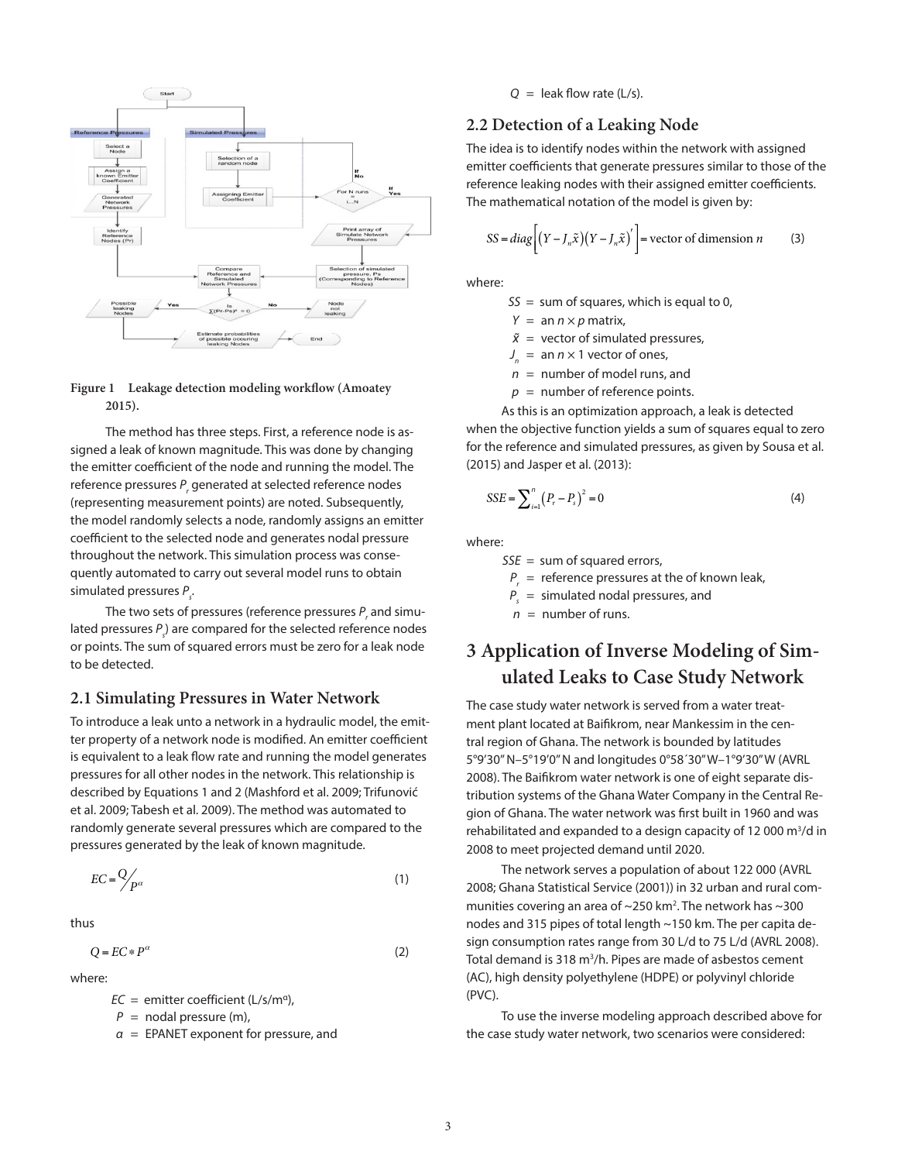

### **Figure 1 Leakage detection modeling workflow (Amoatey 2015).**

The method has three steps. First, a reference node is assigned a leak of known magnitude. This was done by changing the emitter coefficient of the node and running the model. The reference pressures P<sub>r</sub> generated at selected reference nodes (representing measurement points) are noted. Subsequently, the model randomly selects a node, randomly assigns an emitter coefficient to the selected node and generates nodal pressure throughout the network. This simulation process was consequently automated to carry out several model runs to obtain simulated pressures P<sub>s</sub>.

The two sets of pressures (reference pressures  $P_{_{\rm r}}$  and simulated pressures  $P_{s}$ ) are compared for the selected reference nodes or points. The sum of squared errors must be zero for a leak node to be detected.

### **2.1 Simulating Pressures in Water Network**

To introduce a leak unto a network in a hydraulic model, the emitter property of a network node is modified. An emitter coefficient is equivalent to a leak flow rate and running the model generates pressures for all other nodes in the network. This relationship is described by Equations 1 and 2 (Mashford et al. 2009; Trifunović et al. 2009; Tabesh et al. 2009). The method was automated to randomly generate several pressures which are compared to the pressures generated by the leak of known magnitude.

$$
EC = \frac{Q}{P^{\alpha}}
$$
 (1)

thus

$$
Q = EC \ast P^{\alpha} \tag{2}
$$

where:

 $EC =$  emitter coefficient (L/s/m<sup>a</sup>),

 $P =$  nodal pressure (m),

*α* = EPANET exponent for pressure, and

#### $Q =$  leak flow rate ( $L/s$ ).

### **2.2 Detection of a Leaking Node**

The idea is to identify nodes within the network with assigned emitter coefficients that generate pressures similar to those of the reference leaking nodes with their assigned emitter coefficients. The mathematical notation of the model is given by:

$$
SS = diag\left[ (Y - J_n \tilde{x})(Y - J_n \tilde{x})' \right] = vector of dimension n \tag{3}
$$

where:

 $SS = sum of squares, which is equal to 0,$ 

 $Y = \text{an } n \times p \text{ matrix}$ 

 $\tilde{x}$  = vector of simulated pressures,

 $J_n = \text{an } n \times 1$  vector of ones,

*n* = number of model runs, and

 $p =$  number of reference points.

As this is an optimization approach, a leak is detected

when the objective function yields a sum of squares equal to zero for the reference and simulated pressures, as given by Sousa et al. (2015) and Jasper et al. (2013):

$$
SSE = \sum_{i=1}^{n} (P_r - P_s)^2 = 0
$$
 (4)

where:

 $SSE = sum of squared errors,$ 

*Pr* = reference pressures at the of known leak,

*Ps* = simulated nodal pressures, and

 $n =$  number of runs.

# **3 Application of Inverse Modeling of Simulated Leaks to Case Study Network**

The case study water network is served from a water treatment plant located at Baifikrom, near Mankessim in the central region of Ghana. The network is bounded by latitudes 5°9'30" N–5°19'0" N and longitudes 0°58´30" W–1°9'30" W (AVRL 2008). The Baifikrom water network is one of eight separate distribution systems of the Ghana Water Company in the Central Region of Ghana. The water network was first built in 1960 and was rehabilitated and expanded to a design capacity of 12 000 m<sup>3</sup>/d in 2008 to meet projected demand until 2020.

The network serves a population of about 122 000 (AVRL 2008; Ghana Statistical Service (2001)) in 32 urban and rural communities covering an area of  $\sim$ 250 km<sup>2</sup>. The network has  $\sim$ 300 nodes and 315 pipes of total length ~150 km. The per capita design consumption rates range from 30 L/d to 75 L/d (AVRL 2008). Total demand is 318 m<sup>3</sup>/h. Pipes are made of asbestos cement (AC), high density polyethylene (HDPE) or polyvinyl chloride (PVC).

To use the inverse modeling approach described above for the case study water network, two scenarios were considered: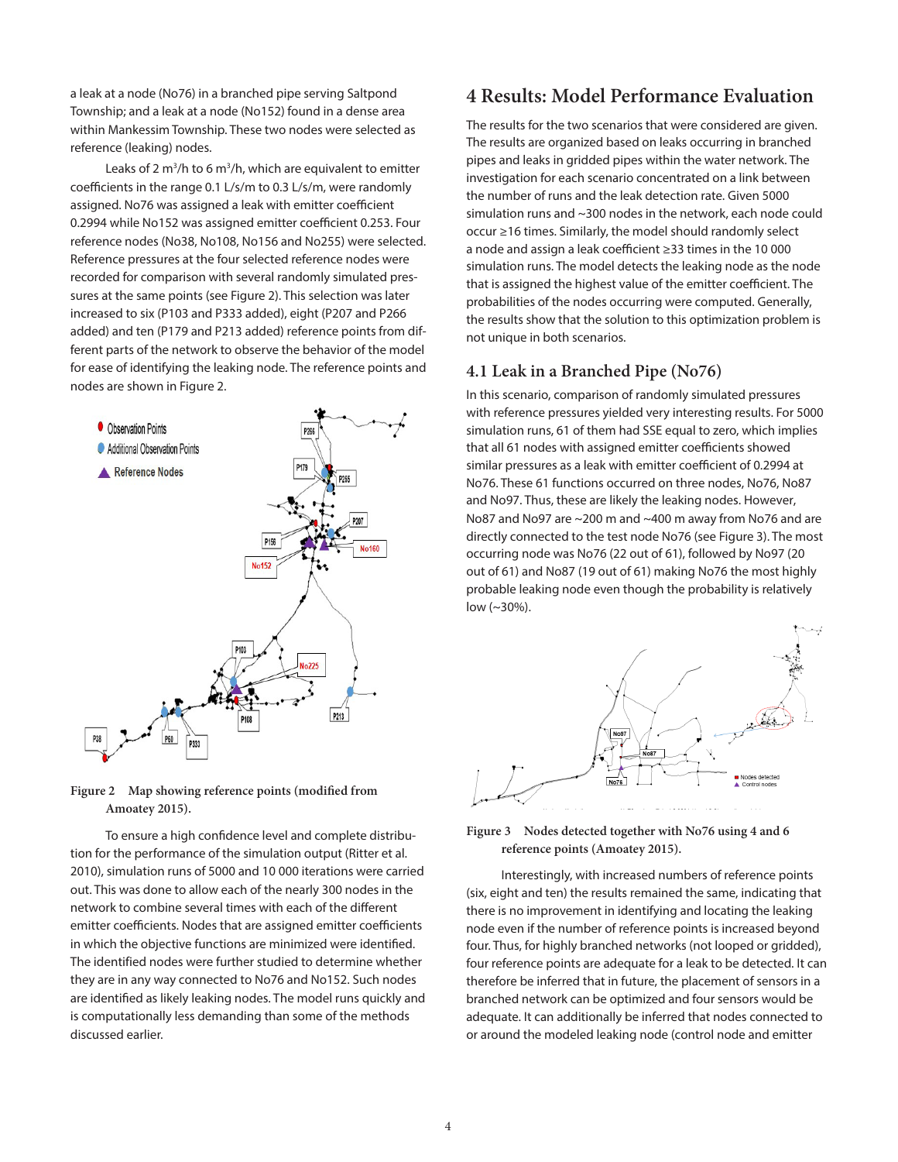a leak at a node (No76) in a branched pipe serving Saltpond Township; and a leak at a node (No152) found in a dense area within Mankessim Township. These two nodes were selected as reference (leaking) nodes.

Leaks of 2  $m^3/h$  to 6  $m^3/h$ , which are equivalent to emitter coefficients in the range 0.1 L/s/m to 0.3 L/s/m, were randomly assigned. No76 was assigned a leak with emitter coefficient 0.2994 while No152 was assigned emitter coefficient 0.253. Four reference nodes (No38, No108, No156 and No255) were selected. Reference pressures at the four selected reference nodes were recorded for comparison with several randomly simulated pressures at the same points (see Figure 2). This selection was later increased to six (P103 and P333 added), eight (P207 and P266 added) and ten (P179 and P213 added) reference points from different parts of the network to observe the behavior of the model for ease of identifying the leaking node. The reference points and nodes are shown in Figure 2.





To ensure a high confidence level and complete distribution for the performance of the simulation output (Ritter et al. 2010), simulation runs of 5000 and 10 000 iterations were carried out. This was done to allow each of the nearly 300 nodes in the network to combine several times with each of the different emitter coefficients. Nodes that are assigned emitter coefficients in which the objective functions are minimized were identified. The identified nodes were further studied to determine whether they are in any way connected to No76 and No152. Such nodes are identified as likely leaking nodes. The model runs quickly and is computationally less demanding than some of the methods discussed earlier.

# **4 Results: Model Performance Evaluation**

The results for the two scenarios that were considered are given. The results are organized based on leaks occurring in branched pipes and leaks in gridded pipes within the water network. The investigation for each scenario concentrated on a link between the number of runs and the leak detection rate. Given 5000 simulation runs and ~300 nodes in the network, each node could occur ≥16 times. Similarly, the model should randomly select a node and assign a leak coefficient ≥33 times in the 10 000 simulation runs. The model detects the leaking node as the node that is assigned the highest value of the emitter coefficient. The probabilities of the nodes occurring were computed. Generally, the results show that the solution to this optimization problem is not unique in both scenarios.

### **4.1 Leak in a Branched Pipe (No76)**

In this scenario, comparison of randomly simulated pressures with reference pressures yielded very interesting results. For 5000 simulation runs, 61 of them had SSE equal to zero, which implies that all 61 nodes with assigned emitter coefficients showed similar pressures as a leak with emitter coefficient of 0.2994 at No76. These 61 functions occurred on three nodes, No76, No87 and No97. Thus, these are likely the leaking nodes. However, No87 and No97 are ~200 m and ~400 m away from No76 and are directly connected to the test node No76 (see Figure 3). The most occurring node was No76 (22 out of 61), followed by No97 (20 out of 61) and No87 (19 out of 61) making No76 the most highly probable leaking node even though the probability is relatively low (~30%).



### **Figure 3 Nodes detected together with No76 using 4 and 6 reference points (Amoatey 2015).**

Interestingly, with increased numbers of reference points (six, eight and ten) the results remained the same, indicating that there is no improvement in identifying and locating the leaking node even if the number of reference points is increased beyond four. Thus, for highly branched networks (not looped or gridded), four reference points are adequate for a leak to be detected. It can therefore be inferred that in future, the placement of sensors in a branched network can be optimized and four sensors would be adequate. It can additionally be inferred that nodes connected to or around the modeled leaking node (control node and emitter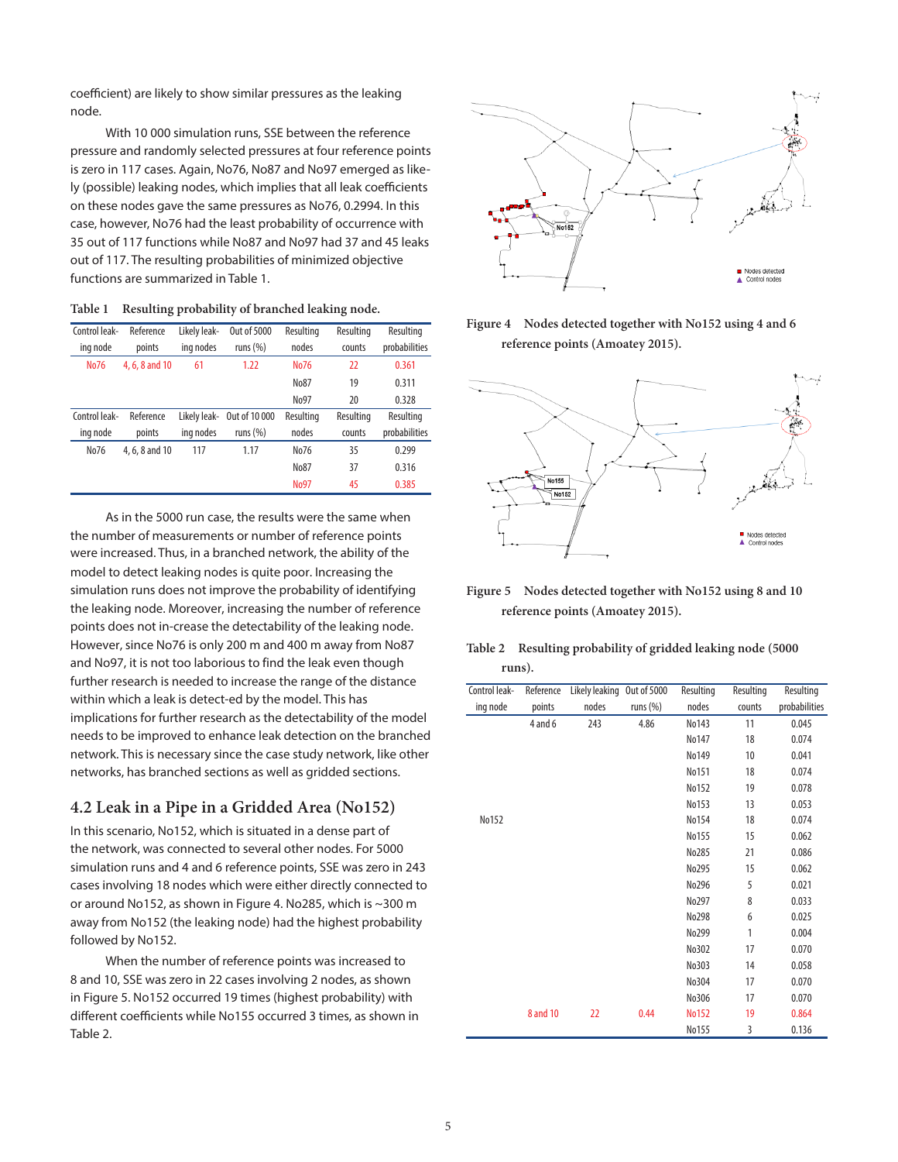coefficient) are likely to show similar pressures as the leaking node.

With 10 000 simulation runs, SSE between the reference pressure and randomly selected pressures at four reference points is zero in 117 cases. Again, No76, No87 and No97 emerged as likely (possible) leaking nodes, which implies that all leak coefficients on these nodes gave the same pressures as No76, 0.2994. In this case, however, No76 had the least probability of occurrence with 35 out of 117 functions while No87 and No97 had 37 and 45 leaks out of 117. The resulting probabilities of minimized objective functions are summarized in Table 1.

| Table 1 |  |  |  | Resulting probability of branched leaking node. |
|---------|--|--|--|-------------------------------------------------|
|---------|--|--|--|-------------------------------------------------|

| Control leak-<br>ing node | Reference<br>points | Likely leak-<br>ing nodes | Out of 5000<br>runs $(\%)$ | Resulting<br>nodes | Resulting<br>counts | Resulting<br>probabilities |
|---------------------------|---------------------|---------------------------|----------------------------|--------------------|---------------------|----------------------------|
| No76                      | 4, 6, 8 and 10      | 61                        | 1.22                       | No76               | 22                  | 0.361                      |
|                           |                     |                           |                            | No87               | 19                  | 0.311                      |
|                           |                     |                           |                            | No97               | 20                  | 0.328                      |
| Control leak-             | Reference           | Likelv leak-              | Out of 10 000              | Resulting          | Resulting           | Resulting                  |
| ing node                  | points              | ing nodes                 | runs $(\%)$                | nodes              | counts              | probabilities              |
| No76                      | 4, 6, 8 and 10      | 117                       | 1.17                       | No76               | 35                  | 0.299                      |
|                           |                     |                           |                            | No87               | 37                  | 0.316                      |
|                           |                     |                           |                            | <b>No97</b>        | 45                  | 0.385                      |

As in the 5000 run case, the results were the same when the number of measurements or number of reference points were increased. Thus, in a branched network, the ability of the model to detect leaking nodes is quite poor. Increasing the simulation runs does not improve the probability of identifying the leaking node. Moreover, increasing the number of reference points does not in-crease the detectability of the leaking node. However, since No76 is only 200 m and 400 m away from No87 and No97, it is not too laborious to find the leak even though further research is needed to increase the range of the distance within which a leak is detect-ed by the model. This has implications for further research as the detectability of the model needs to be improved to enhance leak detection on the branched network. This is necessary since the case study network, like other networks, has branched sections as well as gridded sections.

### **4.2 Leak in a Pipe in a Gridded Area (No152)**

In this scenario, No152, which is situated in a dense part of the network, was connected to several other nodes. For 5000 simulation runs and 4 and 6 reference points, SSE was zero in 243 cases involving 18 nodes which were either directly connected to or around No152, as shown in Figure 4. No285, which is ~300 m away from No152 (the leaking node) had the highest probability followed by No152.

When the number of reference points was increased to 8 and 10, SSE was zero in 22 cases involving 2 nodes, as shown in Figure 5. No152 occurred 19 times (highest probability) with different coefficients while No155 occurred 3 times, as shown in Table 2.







**Figure 5 Nodes detected together with No152 using 8 and 10 reference points (Amoatey 2015).**

| Table 2 | Resulting probability of gridded leaking node (5000) |
|---------|------------------------------------------------------|
|         | runs).                                               |

| Control leak- | Reference | Likely leaking Out of 5000 |             | Resulting    | Resulting | Resulting     |
|---------------|-----------|----------------------------|-------------|--------------|-----------|---------------|
| ing node      | points    | nodes                      | runs $(\%)$ | nodes        | counts    | probabilities |
|               | 4 and 6   | 243                        | 4.86        | No143        | 11        | 0.045         |
|               |           |                            |             | No147        | 18        | 0.074         |
|               |           |                            |             | No149        | 10        | 0.041         |
|               |           |                            |             | No151        | 18        | 0.074         |
|               |           |                            |             | No152        | 19        | 0.078         |
|               |           |                            |             | No153        | 13        | 0.053         |
| No152         |           |                            |             | No154        | 18        | 0.074         |
|               |           |                            |             | No155        | 15        | 0.062         |
|               |           |                            |             | No285        | 21        | 0.086         |
|               |           |                            |             | No295        | 15        | 0.062         |
|               |           |                            |             | No296        | 5         | 0.021         |
|               |           |                            |             | No297        | 8         | 0.033         |
|               |           |                            |             | No298        | 6         | 0.025         |
|               |           |                            |             | No299        | 1         | 0.004         |
|               |           |                            |             | No302        | 17        | 0.070         |
|               |           |                            |             | No303        | 14        | 0.058         |
|               |           |                            |             | No304        | 17        | 0.070         |
|               |           |                            |             | No306        | 17        | 0.070         |
|               | 8 and 10  | 22                         | 0.44        | <b>No152</b> | 19        | 0.864         |
|               |           |                            |             | No155        | 3         | 0.136         |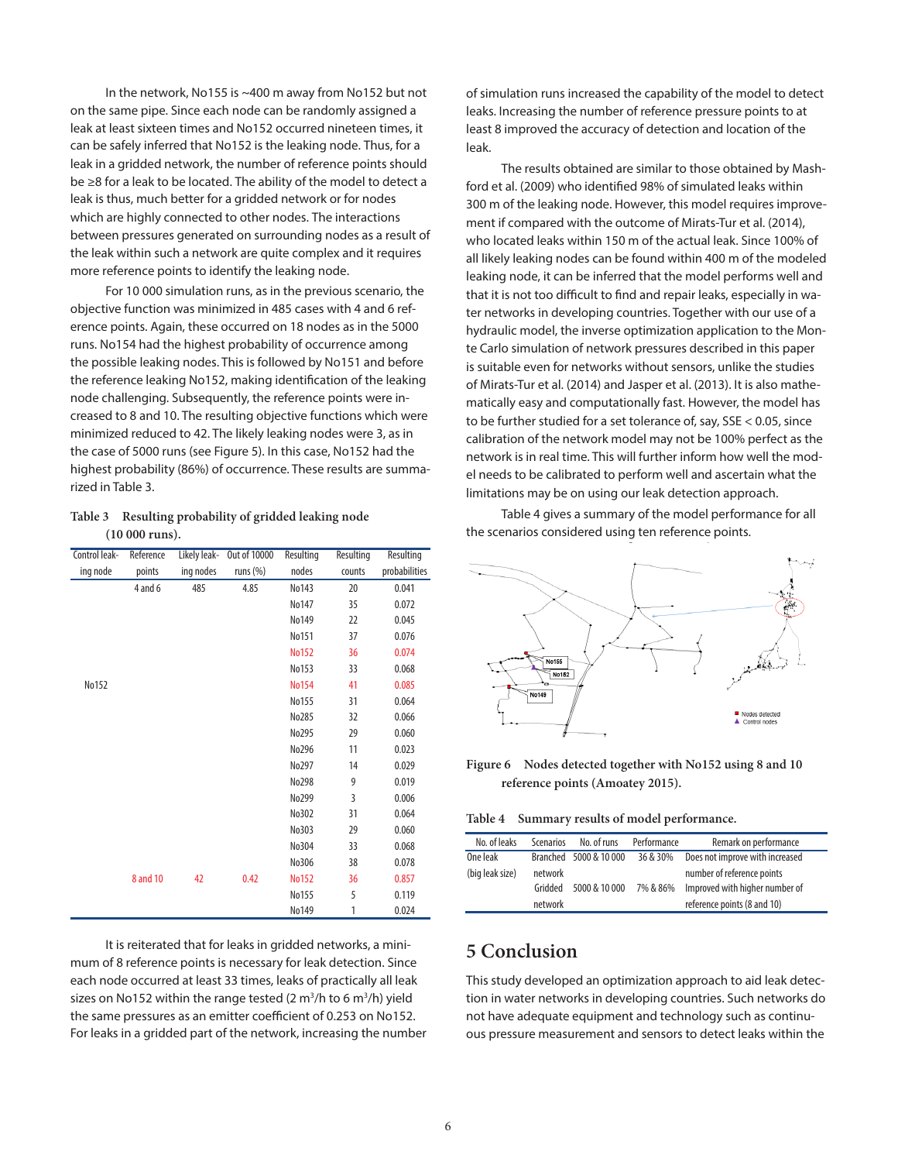In the network, No155 is ~400 m away from No152 but not on the same pipe. Since each node can be randomly assigned a leak at least sixteen times and No152 occurred nineteen times, it can be safely inferred that No152 is the leaking node. Thus, for a leak in a gridded network, the number of reference points should be ≥8 for a leak to be located. The ability of the model to detect a leak is thus, much better for a gridded network or for nodes which are highly connected to other nodes. The interactions between pressures generated on surrounding nodes as a result of the leak within such a network are quite complex and it requires more reference points to identify the leaking node.

For 10 000 simulation runs, as in the previous scenario, the objective function was minimized in 485 cases with 4 and 6 reference points. Again, these occurred on 18 nodes as in the 5000 runs. No154 had the highest probability of occurrence among the possible leaking nodes. This is followed by No151 and before the reference leaking No152, making identification of the leaking node challenging. Subsequently, the reference points were increased to 8 and 10. The resulting objective functions which were minimized reduced to 42. The likely leaking nodes were 3, as in the case of 5000 runs (see Figure 5). In this case, No152 had the highest probability (86%) of occurrence. These results are summarized in Table 3.

### **Table 3 Resulting probability of gridded leaking node (10 000 runs).**

| Control leak- | Reference | Likely leak- | <b>Out of 10000</b> | Resulting    | Resulting | Resulting     |
|---------------|-----------|--------------|---------------------|--------------|-----------|---------------|
| ing node      | points    | ing nodes    | runs $(%)$          | nodes        | counts    | probabilities |
|               | 4 and 6   | 485          | 4.85                | No143        | 20        | 0.041         |
|               |           |              |                     | No147        | 35        | 0.072         |
|               |           |              |                     | No149        | 22        | 0.045         |
|               |           |              |                     | No151        | 37        | 0.076         |
|               |           |              |                     | <b>No152</b> | 36        | 0.074         |
|               |           |              |                     | No153        | 33        | 0.068         |
| No152         |           |              |                     | <b>No154</b> | 41        | 0.085         |
|               |           |              |                     | No155        | 31        | 0.064         |
|               |           |              |                     | No285        | 32        | 0.066         |
|               |           |              |                     | No295        | 29        | 0.060         |
|               |           |              |                     | No296        | 11        | 0.023         |
|               |           |              |                     | No297        | 14        | 0.029         |
|               |           |              |                     | No298        | 9         | 0.019         |
|               |           |              |                     | No299        | 3         | 0.006         |
|               |           |              |                     | No302        | 31        | 0.064         |
|               |           |              |                     | No303        | 29        | 0.060         |
|               |           |              |                     | No304        | 33        | 0.068         |
|               |           |              |                     | No306        | 38        | 0.078         |
|               | 8 and 10  | 42           | 0.42                | <b>No152</b> | 36        | 0.857         |
|               |           |              |                     | No155        | 5         | 0.119         |
|               |           |              |                     | No149        | 1         | 0.024         |

It is reiterated that for leaks in gridded networks, a minimum of 8 reference points is necessary for leak detection. Since each node occurred at least 33 times, leaks of practically all leak sizes on No152 within the range tested  $(2 \text{ m}^3/\text{h} \text{ to } 6 \text{ m}^3/\text{h})$  yield the same pressures as an emitter coefficient of 0.253 on No152. For leaks in a gridded part of the network, increasing the number of simulation runs increased the capability of the model to detect leaks. Increasing the number of reference pressure points to at least 8 improved the accuracy of detection and location of the leak.

The results obtained are similar to those obtained by Mashford et al. (2009) who identified 98% of simulated leaks within 300 m of the leaking node. However, this model requires improvement if compared with the outcome of Mirats-Tur et al. (2014), who located leaks within 150 m of the actual leak. Since 100% of all likely leaking nodes can be found within 400 m of the modeled leaking node, it can be inferred that the model performs well and that it is not too difficult to find and repair leaks, especially in water networks in developing countries. Together with our use of a hydraulic model, the inverse optimization application to the Monte Carlo simulation of network pressures described in this paper is suitable even for networks without sensors, unlike the studies of Mirats-Tur et al. (2014) and Jasper et al. (2013). It is also mathematically easy and computationally fast. However, the model has to be further studied for a set tolerance of, say, SSE < 0.05, since calibration of the network model may not be 100% perfect as the network is in real time. This will further inform how well the model needs to be calibrated to perform well and ascertain what the limitations may be on using our leak detection approach.

Table 4 gives a summary of the model performance for all the scenarios considered using ten reference points.



**Figure 6 Nodes detected together with No152 using 8 and 10 reference points (Amoatey 2015).**

**Table 4 Summary results of model performance.**

| No. of leaks    | Scenarios | No. of runs            | Performance | Remark on performance           |
|-----------------|-----------|------------------------|-------------|---------------------------------|
| One leak        |           | Branched 5000 & 10 000 | 36 & 30%    | Does not improve with increased |
| (big leak size) | network   |                        |             | number of reference points      |
|                 | Gridded   | 5000 & 10 000          | 7% & 86%    | Improved with higher number of  |
|                 | network   |                        |             | reference points (8 and 10)     |

## **5 Conclusion**

This study developed an optimization approach to aid leak detection in water networks in developing countries. Such networks do not have adequate equipment and technology such as continuous pressure measurement and sensors to detect leaks within the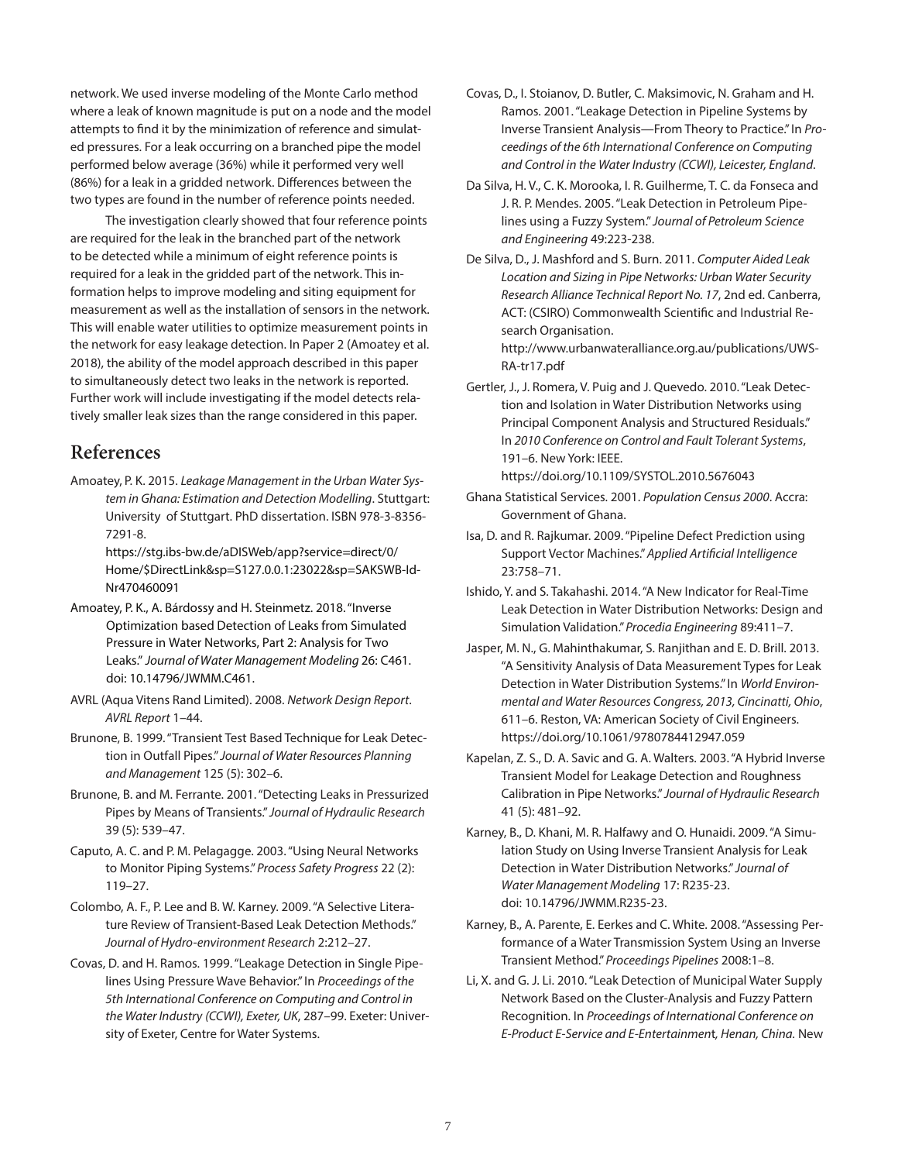network. We used inverse modeling of the Monte Carlo method where a leak of known magnitude is put on a node and the model attempts to find it by the minimization of reference and simulated pressures. For a leak occurring on a branched pipe the model performed below average (36%) while it performed very well (86%) for a leak in a gridded network. Differences between the two types are found in the number of reference points needed.

The investigation clearly showed that four reference points are required for the leak in the branched part of the network to be detected while a minimum of eight reference points is required for a leak in the gridded part of the network. This information helps to improve modeling and siting equipment for measurement as well as the installation of sensors in the network. This will enable water utilities to optimize measurement points in the network for easy leakage detection. In Paper 2 (Amoatey et al. 2018), the ability of the model approach described in this paper to simultaneously detect two leaks in the network is reported. Further work will include investigating if the model detects relatively smaller leak sizes than the range considered in this paper.

## **References**

Amoatey, P. K. 2015. *Leakage Management in the Urban Water System in Ghana: Estimation and Detection Modelling*. Stuttgart: University of Stuttgart. PhD dissertation. ISBN 978-3-8356- 7291-8.

https://stg.ibs-bw.de/aDISWeb/app?service=direct/0/ Home/\$DirectLink&sp=S127.0.0.1:23022&sp=SAKSWB-Id-Nr470460091

- Amoatey, P. K., A. Bárdossy and H. Steinmetz. 2018. "Inverse Optimization based Detection of Leaks from Simulated Pressure in Water Networks, Part 2: Analysis for Two Leaks." Journal of Water Management Modeling 26: C461. doi: [10.14796/JWMM.C461.](https://doi.org/10.14796/JWMM.C461)
- AVRL (Aqua Vitens Rand Limited). 2008. *Network Design Report*. *AVRL Report* 1–44.
- Brunone, B. 1999. "Transient Test Based Technique for Leak Detection in Outfall Pipes." *Journal of Water Resources Planning and Management* 125 (5): 302–6.
- Brunone, B. and M. Ferrante. 2001. "Detecting Leaks in Pressurized Pipes by Means of Transients." *Journal of Hydraulic Research* 39 (5): 539–47.
- Caputo, A. C. and P. M. Pelagagge. 2003. "Using Neural Networks to Monitor Piping Systems." *Process Safety Progress* 22 (2): 119–27.
- Colombo, A. F., P. Lee and B. W. Karney. 2009. "A Selective Literature Review of Transient-Based Leak Detection Methods." *Journal of Hydro-environment Research* 2:212–27.
- Covas, D. and H. Ramos. 1999. "Leakage Detection in Single Pipelines Using Pressure Wave Behavior." In *Proceedings of the 5th International Conference on Computing and Control in the Water Industry (CCWI), Exeter, UK*, 287–99. Exeter: University of Exeter, Centre for Water Systems.
- Covas, D., I. Stoianov, D. Butler, C. Maksimovic, N. Graham and H. Ramos. 2001. "Leakage Detection in Pipeline Systems by Inverse Transient Analysis—From Theory to Practice." In *Proceedings of the 6th International Conference on Computing and Control in the Water Industry (CCWI), Leicester, England*.
- Da Silva, H. V., C. K. Morooka, I. R. Guilherme, T. C. da Fonseca and J. R. P. Mendes. 2005. "Leak Detection in Petroleum Pipelines using a Fuzzy System." *Journal of Petroleum Science and Engineering* 49:223-238.
- De Silva, D., J. Mashford and S. Burn. 2011. *Computer Aided Leak Location and Sizing in Pipe Networks: Urban Water Security Research Alliance Technical Report No. 17*, 2nd ed. Canberra, ACT: (CSIRO) Commonwealth Scientific and Industrial Research Organisation.

http://www.urbanwateralliance.org.au/publications/UWS-RA-tr17.pdf

Gertler, J., J. Romera, V. Puig and J. Quevedo. 2010. "Leak Detection and Isolation in Water Distribution Networks using Principal Component Analysis and Structured Residuals." In *2010 Conference on Control and Fault Tolerant Systems*, 191–6. New York: IEEE.

https://doi.org/10.1109/SYSTOL.2010.5676043

- Ghana Statistical Services. 2001. *Population Census 2000*. Accra: Government of Ghana.
- Isa, D. and R. Rajkumar. 2009. "Pipeline Defect Prediction using Support Vector Machines." *Applied Artificial Intelligence* 23:758–71.
- Ishido, Y. and S. Takahashi. 2014. "A New Indicator for Real-Time Leak Detection in Water Distribution Networks: Design and Simulation Validation." *Procedia Engineering* 89:411–7.
- Jasper, M. N., G. Mahinthakumar, S. Ranjithan and E. D. Brill. 2013. "A Sensitivity Analysis of Data Measurement Types for Leak Detection in Water Distribution Systems." In *World Environmental and Water Resources Congress, 2013, Cincinatti, Ohio*, 611–6. Reston, VA: American Society of Civil Engineers. https://doi.org/10.1061/9780784412947.059
- Kapelan, Z. S., D. A. Savic and G. A. Walters. 2003. "A Hybrid Inverse Transient Model for Leakage Detection and Roughness Calibration in Pipe Networks." *Journal of Hydraulic Research* 41 (5): 481–92.
- Karney, B., D. Khani, M. R. Halfawy and O. Hunaidi. 2009. "A Simulation Study on Using Inverse Transient Analysis for Leak Detection in Water Distribution Networks." *Journal of Water Management Modeling* 17: R235-23. doi: [10.14796/JWMM.R235-23.](https://doi.org/10.14796/JWMM.R235-23)
- Karney, B., A. Parente, E. Eerkes and C. White. 2008. "Assessing Performance of a Water Transmission System Using an Inverse Transient Method." *Proceedings Pipelines* 2008:1–8.
- Li, X. and G. J. Li. 2010. "Leak Detection of Municipal Water Supply Network Based on the Cluster-Analysis and Fuzzy Pattern Recognition. In *Proceedings of International Conference on E-Product E-Service and E-Entertainmen*t*, Henan, China.* New